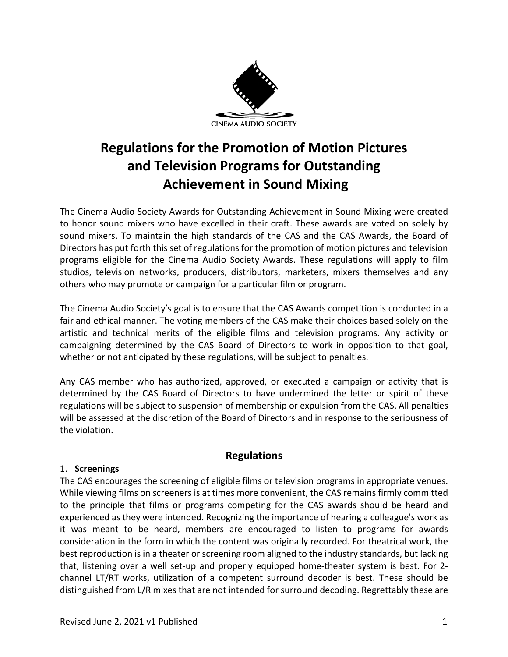

# **Regulations for the Promotion of Motion Pictures and Television Programs for Outstanding Achievement in Sound Mixing**

The Cinema Audio Society Awards for Outstanding Achievement in Sound Mixing were created to honor sound mixers who have excelled in their craft. These awards are voted on solely by sound mixers. To maintain the high standards of the CAS and the CAS Awards, the Board of Directors has put forth this set of regulations for the promotion of motion pictures and television programs eligible for the Cinema Audio Society Awards. These regulations will apply to film studios, television networks, producers, distributors, marketers, mixers themselves and any others who may promote or campaign for a particular film or program.

The Cinema Audio Society's goal is to ensure that the CAS Awards competition is conducted in a fair and ethical manner. The voting members of the CAS make their choices based solely on the artistic and technical merits of the eligible films and television programs. Any activity or campaigning determined by the CAS Board of Directors to work in opposition to that goal, whether or not anticipated by these regulations, will be subject to penalties.

Any CAS member who has authorized, approved, or executed a campaign or activity that is determined by the CAS Board of Directors to have undermined the letter or spirit of these regulations will be subject to suspension of membership or expulsion from the CAS. All penalties will be assessed at the discretion of the Board of Directors and in response to the seriousness of the violation.

## **Regulations**

## 1. **Screenings**

The CAS encourages the screening of eligible films or television programs in appropriate venues. While viewing films on screeners is at times more convenient, the CAS remains firmly committed to the principle that films or programs competing for the CAS awards should be heard and experienced as they were intended. Recognizing the importance of hearing a colleague's work as it was meant to be heard, members are encouraged to listen to programs for awards consideration in the form in which the content was originally recorded. For theatrical work, the best reproduction is in a theater or screening room aligned to the industry standards, but lacking that, listening over a well set-up and properly equipped home-theater system is best. For 2 channel LT/RT works, utilization of a competent surround decoder is best. These should be distinguished from L/R mixes that are not intended for surround decoding. Regrettably these are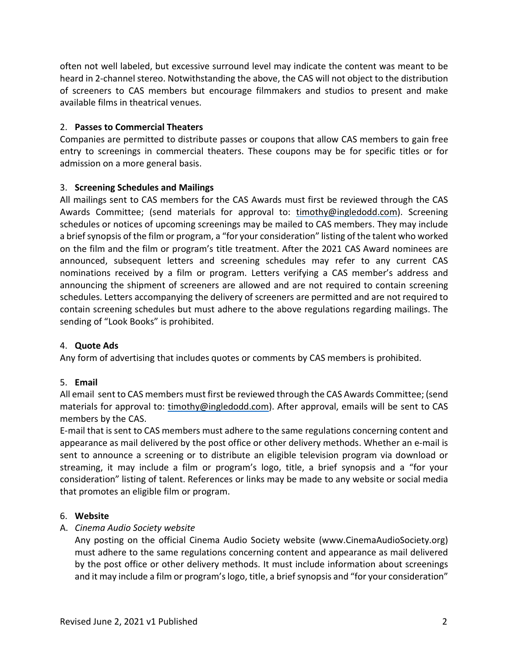often not well labeled, but excessive surround level may indicate the content was meant to be heard in 2-channel stereo. Notwithstanding the above, the CAS will not object to the distribution of screeners to CAS members but encourage filmmakers and studios to present and make available films in theatrical venues.

## 2. **Passes to Commercial Theaters**

Companies are permitted to distribute passes or coupons that allow CAS members to gain free entry to screenings in commercial theaters. These coupons may be for specific titles or for admission on a more general basis.

## 3. **Screening Schedules and Mailings**

All mailings sent to CAS members for the CAS Awards must first be reviewed through the CAS Awards Committee; (send materials for approval to: timothy@ingledodd.com). Screening schedules or notices of upcoming screenings may be mailed to CAS members. They may include a briefsynopsis of the film or program, a "for your consideration" listing of the talent who worked on the film and the film or program's title treatment. After the 2021 CAS Award nominees are announced, subsequent letters and screening schedules may refer to any current CAS nominations received by a film or program. Letters verifying a CAS member's address and announcing the shipment of screeners are allowed and are not required to contain screening schedules. Letters accompanying the delivery of screeners are permitted and are not required to contain screening schedules but must adhere to the above regulations regarding mailings. The sending of "Look Books" is prohibited.

### 4. **Quote Ads**

Any form of advertising that includes quotes or comments by CAS members is prohibited.

## 5. **Email**

All email sent to CAS members must first be reviewed through the CAS Awards Committee; (send materials for approval to: timothy@ingledodd.com). After approval, emails will be sent to CAS members by the CAS.

E-mail that is sent to CAS members must adhere to the same regulations concerning content and appearance as mail delivered by the post office or other delivery methods. Whether an e-mail is sent to announce a screening or to distribute an eligible television program via download or streaming, it may include a film or program's logo, title, a brief synopsis and a "for your consideration" listing of talent. References or links may be made to any website or social media that promotes an eligible film or program.

### 6. **Website**

## A. *Cinema Audio Society website*

Any posting on the official Cinema Audio Society website (www.CinemaAudioSociety.org) must adhere to the same regulations concerning content and appearance as mail delivered by the post office or other delivery methods. It must include information about screenings and it may include a film or program's logo, title, a brief synopsis and "for your consideration"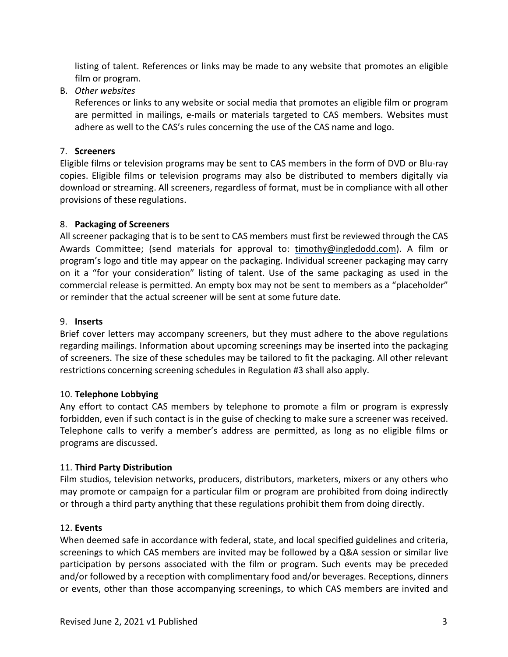listing of talent. References or links may be made to any website that promotes an eligible film or program.

B. *Other websites*

References or links to any website or social media that promotes an eligible film or program are permitted in mailings, e-mails or materials targeted to CAS members. Websites must adhere as well to the CAS's rules concerning the use of the CAS name and logo.

## 7. **Screeners**

Eligible films or television programs may be sent to CAS members in the form of DVD or Blu-ray copies. Eligible films or television programs may also be distributed to members digitally via download or streaming. All screeners, regardless of format, must be in compliance with all other provisions of these regulations.

## 8. **Packaging of Screeners**

All screener packaging that is to be sent to CAS members must first be reviewed through the CAS Awards Committee; (send materials for approval to: timothy@ingledodd.com). A film or program's logo and title may appear on the packaging. Individual screener packaging may carry on it a "for your consideration" listing of talent. Use of the same packaging as used in the commercial release is permitted. An empty box may not be sent to members as a "placeholder" or reminder that the actual screener will be sent at some future date.

### 9. **Inserts**

Brief cover letters may accompany screeners, but they must adhere to the above regulations regarding mailings. Information about upcoming screenings may be inserted into the packaging of screeners. The size of these schedules may be tailored to fit the packaging. All other relevant restrictions concerning screening schedules in Regulation #3 shall also apply.

### 10. **Telephone Lobbying**

Any effort to contact CAS members by telephone to promote a film or program is expressly forbidden, even if such contact is in the guise of checking to make sure a screener was received. Telephone calls to verify a member's address are permitted, as long as no eligible films or programs are discussed.

### 11. **Third Party Distribution**

Film studios, television networks, producers, distributors, marketers, mixers or any others who may promote or campaign for a particular film or program are prohibited from doing indirectly or through a third party anything that these regulations prohibit them from doing directly.

### 12. **Events**

When deemed safe in accordance with federal, state, and local specified guidelines and criteria, screenings to which CAS members are invited may be followed by a Q&A session or similar live participation by persons associated with the film or program. Such events may be preceded and/or followed by a reception with complimentary food and/or beverages. Receptions, dinners or events, other than those accompanying screenings, to which CAS members are invited and